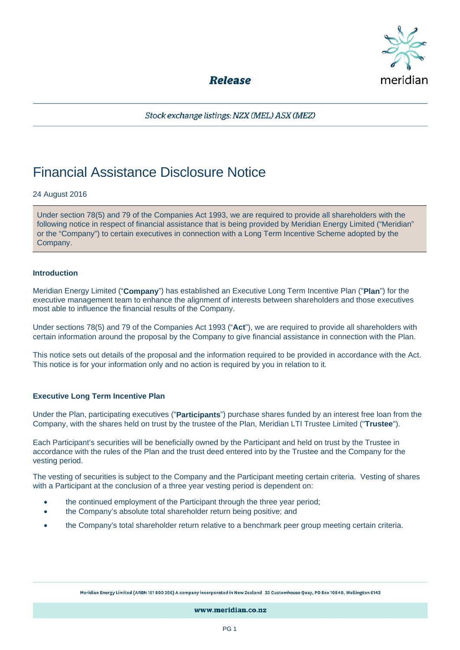

**Release** 

Stock exchange listings: NZX (MEL) ASX (MEZ)

# Financial Assistance Disclosure Notice

# 24 August 2016

Under section 78(5) and 79 of the Companies Act 1993, we are required to provide all shareholders with the following notice in respect of financial assistance that is being provided by Meridian Energy Limited ("Meridian" or the "Company") to certain executives in connection with a Long Term Incentive Scheme adopted by the Company.

## **Introduction**

Meridian Energy Limited ("**Company**") has established an Executive Long Term Incentive Plan ("**Plan**") for the executive management team to enhance the alignment of interests between shareholders and those executives most able to influence the financial results of the Company.

Under sections 78(5) and 79 of the Companies Act 1993 ("**Act**"), we are required to provide all shareholders with certain information around the proposal by the Company to give financial assistance in connection with the Plan.

This notice sets out details of the proposal and the information required to be provided in accordance with the Act. This notice is for your information only and no action is required by you in relation to it.

# **Executive Long Term Incentive Plan**

Under the Plan, participating executives ("**Participants**") purchase shares funded by an interest free loan from the Company, with the shares held on trust by the trustee of the Plan, Meridian LTI Trustee Limited ("**Trustee**").

Each Participant's securities will be beneficially owned by the Participant and held on trust by the Trustee in accordance with the rules of the Plan and the trust deed entered into by the Trustee and the Company for the vesting period.

The vesting of securities is subject to the Company and the Participant meeting certain criteria. Vesting of shares with a Participant at the conclusion of a three year vesting period is dependent on:

- the continued employment of the Participant through the three year period;
- the Company's absolute total shareholder return being positive; and
- the Company's total shareholder return relative to a benchmark peer group meeting certain criteria.

Meridian Energy Limited (ARBN 151 800 396) A company incorporated in New Zealand 33 Customhouse Quay, PO Box 10840, Wellington 6143

www.meridian.co.nz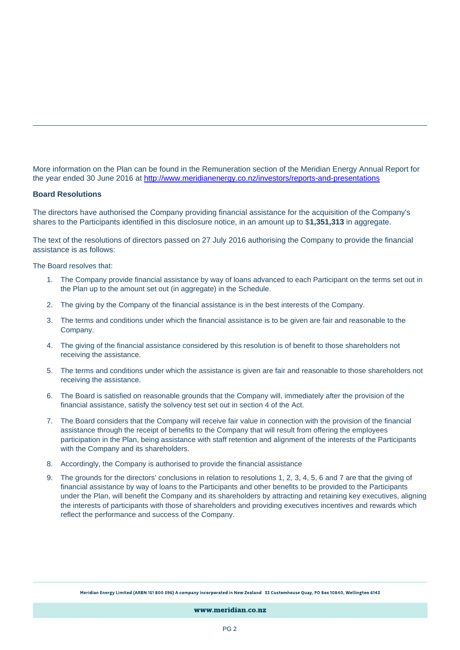More information on the Plan can be found in the Remuneration section of the Meridian Energy Annual Report for the year ended 30 June 2016 at http://www.meridianenergy.co.nz/investors/reports-and-presentations

#### **Board Resolutions**

The directors have authorised the Company providing financial assistance for the acquisition of the Company's shares to the Participants identified in this disclosure notice, in an amount up to \$**1,351,313** in aggregate.

The text of the resolutions of directors passed on 27 July 2016 authorising the Company to provide the financial assistance is as follows:

The Board resolves that:

- 1. The Company provide financial assistance by way of loans advanced to each Participant on the terms set out in the Plan up to the amount set out (in aggregate) in the Schedule.
- 2. The giving by the Company of the financial assistance is in the best interests of the Company.
- 3. The terms and conditions under which the financial assistance is to be given are fair and reasonable to the Company.
- 4. The giving of the financial assistance considered by this resolution is of benefit to those shareholders not receiving the assistance.
- 5. The terms and conditions under which the assistance is given are fair and reasonable to those shareholders not receiving the assistance.
- 6. The Board is satisfied on reasonable grounds that the Company will, immediately after the provision of the financial assistance, satisfy the solvency test set out in section 4 of the Act.
- 7. The Board considers that the Company will receive fair value in connection with the provision of the financial assistance through the receipt of benefits to the Company that will result from offering the employees participation in the Plan, being assistance with staff retention and alignment of the interests of the Participants with the Company and its shareholders.
- 8. Accordingly, the Company is authorised to provide the financial assistance
- 9. The grounds for the directors' conclusions in relation to resolutions 1, 2, 3, 4, 5, 6 and 7 are that the giving of financial assistance by way of loans to the Participants and other benefits to be provided to the Participants under the Plan, will benefit the Company and its shareholders by attracting and retaining key executives, aligning the interests of participants with those of shareholders and providing executives incentives and rewards which reflect the performance and success of the Company.

www.meridian.co.nz